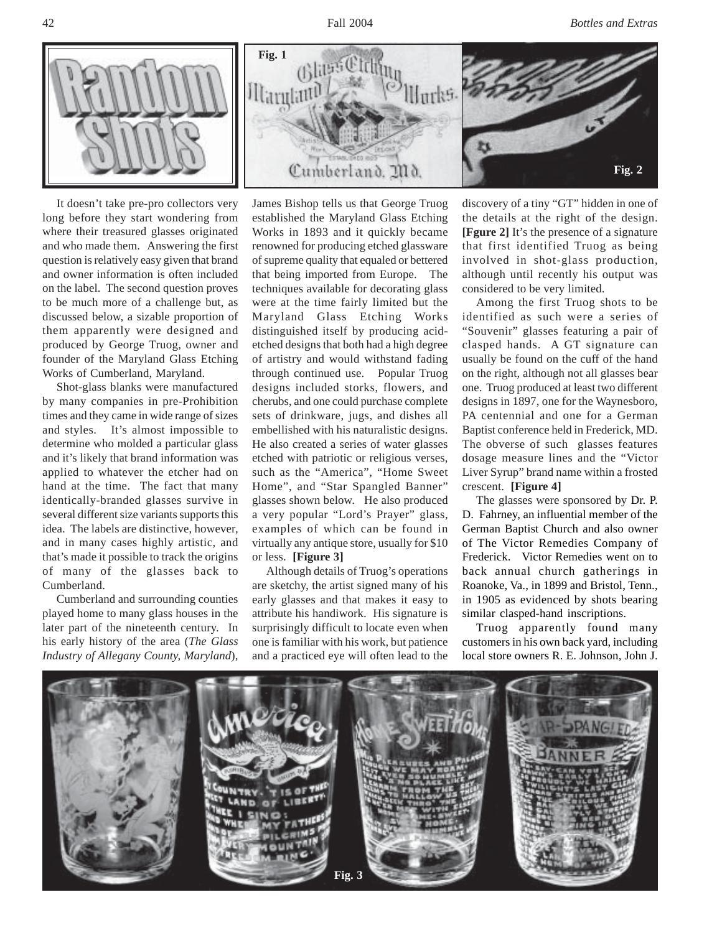

It doesn't take pre-pro collectors very long before they start wondering from where their treasured glasses originated and who made them. Answering the first question is relatively easy given that brand and owner information is often included on the label. The second question proves to be much more of a challenge but, as discussed below, a sizable proportion of them apparently were designed and produced by George Truog, owner and founder of the Maryland Glass Etching Works of Cumberland, Maryland.

Shot-glass blanks were manufactured by many companies in pre-Prohibition times and they came in wide range of sizes and styles. It's almost impossible to determine who molded a particular glass and it's likely that brand information was applied to whatever the etcher had on hand at the time. The fact that many identically-branded glasses survive in several different size variants supports this idea. The labels are distinctive, however, and in many cases highly artistic, and that's made it possible to track the origins of many of the glasses back to Cumberland.

Cumberland and surrounding counties played home to many glass houses in the later part of the nineteenth century. In his early history of the area (*The Glass Industry of Allegany County, Maryland*),

James Bishop tells us that George Truog established the Maryland Glass Etching Works in 1893 and it quickly became renowned for producing etched glassware of supreme quality that equaled or bettered that being imported from Europe. The techniques available for decorating glass were at the time fairly limited but the Maryland Glass Etching Works distinguished itself by producing acidetched designs that both had a high degree of artistry and would withstand fading through continued use. Popular Truog designs included storks, flowers, and cherubs, and one could purchase complete sets of drinkware, jugs, and dishes all embellished with his naturalistic designs. He also created a series of water glasses etched with patriotic or religious verses, such as the "America", "Home Sweet Home", and "Star Spangled Banner" glasses shown below. He also produced a very popular "Lord's Prayer" glass, examples of which can be found in virtually any antique store, usually for \$10 or less. **[Figure 3]**

Although details of Truog's operations are sketchy, the artist signed many of his early glasses and that makes it easy to attribute his handiwork. His signature is surprisingly difficult to locate even when one is familiar with his work, but patience and a practiced eye will often lead to the

discovery of a tiny "GT" hidden in one of the details at the right of the design. **[Fgure 2]** It's the presence of a signature that first identified Truog as being involved in shot-glass production, although until recently his output was considered to be very limited.

Among the first Truog shots to be identified as such were a series of "Souvenir" glasses featuring a pair of clasped hands. A GT signature can usually be found on the cuff of the hand on the right, although not all glasses bear one. Truog produced at least two different designs in 1897, one for the Waynesboro, PA centennial and one for a German Baptist conference held in Frederick, MD. The obverse of such glasses features dosage measure lines and the "Victor Liver Syrup" brand name within a frosted crescent. **[Figure 4]**

The glasses were sponsored by Dr. P. D. Fahrney, an influential member of the German Baptist Church and also owner of The Victor Remedies Company of Frederick. Victor Remedies went on to back annual church gatherings in Roanoke, Va., in 1899 and Bristol, Tenn., in 1905 as evidenced by shots bearing similar clasped-hand inscriptions.

Truog apparently found many customers in his own back yard, including local store owners R. E. Johnson, John J.

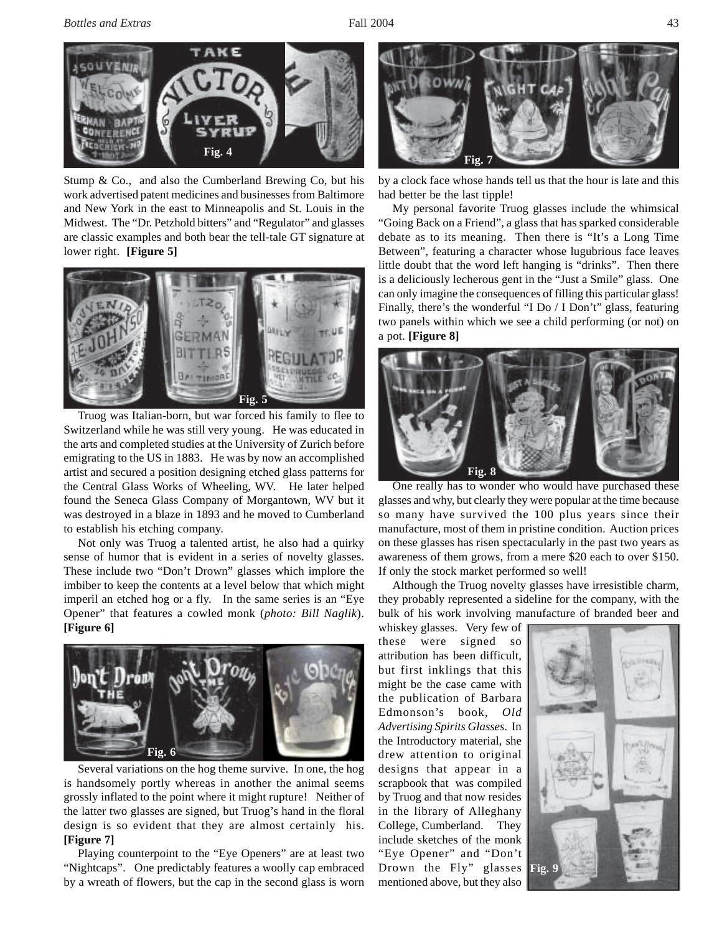

Stump & Co., and also the Cumberland Brewing Co, but his work advertised patent medicines and businesses from Baltimore and New York in the east to Minneapolis and St. Louis in the Midwest. The "Dr. Petzhold bitters" and "Regulator" and glasses are classic examples and both bear the tell-tale GT signature at lower right. **[Figure 5]**



Truog was Italian-born, but war forced his family to flee to Switzerland while he was still very young. He was educated in the arts and completed studies at the University of Zurich before emigrating to the US in 1883. He was by now an accomplished artist and secured a position designing etched glass patterns for the Central Glass Works of Wheeling, WV. He later helped found the Seneca Glass Company of Morgantown, WV but it was destroyed in a blaze in 1893 and he moved to Cumberland to establish his etching company.

Not only was Truog a talented artist, he also had a quirky sense of humor that is evident in a series of novelty glasses. These include two "Don't Drown" glasses which implore the imbiber to keep the contents at a level below that which might imperil an etched hog or a fly. In the same series is an "Eye Opener" that features a cowled monk (*photo: Bill Naglik*). **[Figure 6]**



Several variations on the hog theme survive. In one, the hog is handsomely portly whereas in another the animal seems grossly inflated to the point where it might rupture! Neither of the latter two glasses are signed, but Truog's hand in the floral design is so evident that they are almost certainly his. **[Figure 7]**

Playing counterpoint to the "Eye Openers" are at least two "Nightcaps". One predictably features a woolly cap embraced by a wreath of flowers, but the cap in the second glass is worn



by a clock face whose hands tell us that the hour is late and this had better be the last tipple!

My personal favorite Truog glasses include the whimsical "Going Back on a Friend", a glass that has sparked considerable debate as to its meaning. Then there is "It's a Long Time Between", featuring a character whose lugubrious face leaves little doubt that the word left hanging is "drinks". Then there is a deliciously lecherous gent in the "Just a Smile" glass. One can only imagine the consequences of filling this particular glass! Finally, there's the wonderful "I Do / I Don't" glass, featuring two panels within which we see a child performing (or not) on a pot. **[Figure 8]**



One really has to wonder who would have purchased these glasses and why, but clearly they were popular at the time because so many have survived the 100 plus years since their manufacture, most of them in pristine condition. Auction prices on these glasses has risen spectacularly in the past two years as awareness of them grows, from a mere \$20 each to over \$150. If only the stock market performed so well!

Although the Truog novelty glasses have irresistible charm, they probably represented a sideline for the company, with the bulk of his work involving manufacture of branded beer and

whiskey glasses. Very few of these were signed so attribution has been difficult, but first inklings that this might be the case came with the publication of Barbara Edmonson's book, *Old Advertising Spirits Glasses*. In the Introductory material, she drew attention to original designs that appear in a scrapbook that was compiled by Truog and that now resides in the library of Alleghany College, Cumberland. They include sketches of the monk "Eye Opener" and "Don't Drown the Fly" glasses mentioned above, but they also